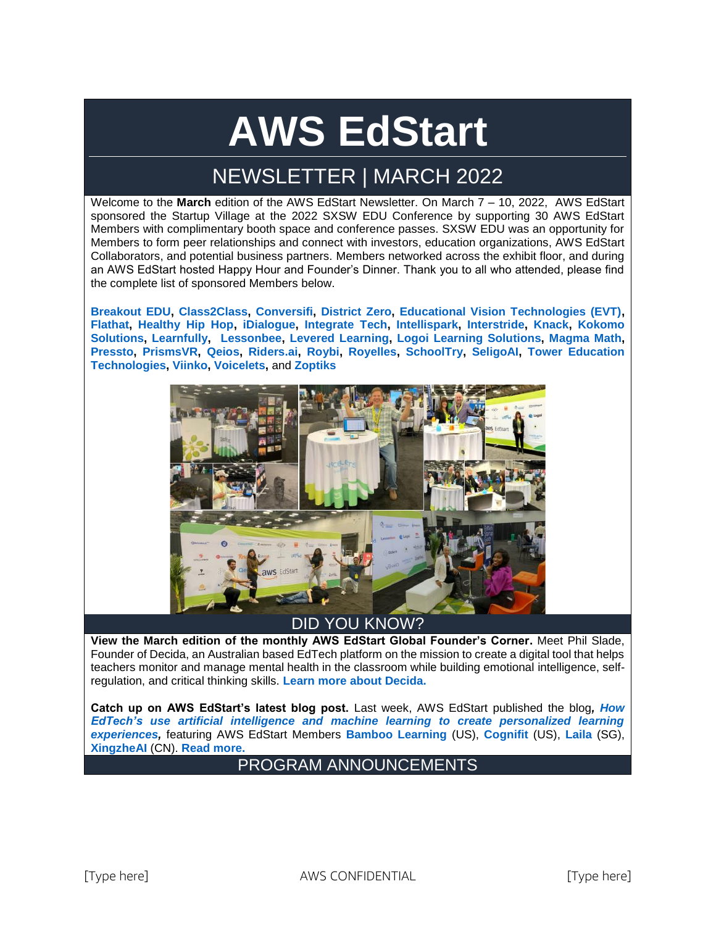# **AWS EdStart**

## NEWSLETTER | MARCH 2022

Welcome to the **March** edition of the AWS EdStart Newsletter. On March 7 – 10, 2022, AWS EdStart sponsored the Startup Village at the 2022 SXSW EDU Conference by supporting 30 AWS EdStart Members with complimentary booth space and conference passes. SXSW EDU was an opportunity for Members to form peer relationships and connect with investors, education organizations, AWS EdStart Collaborators, and potential business partners. Members networked across the exhibit floor, and during an AWS EdStart hosted Happy Hour and Founder's Dinner. Thank you to all who attended, please find the complete list of sponsored Members below.

**[Breakout EDU,](http://www.breakoutedu.com/) [Class2Class,](http://www.class2class.com/) [Conversifi,](http://www.conversifi.com/) [District Zero,](https://www.districtzero.co/) [Educational Vision Technologies \(EVT\),](http://www.evt.ai/) [Flathat,](http://www.flathat.io/) [Healthy Hip Hop,](http://www.healthy.hiphop/) [iDialogue,](http://www.idialogue.com/) [Integrate Tech,](http://www.integrateschool.com/) [Intellispark,](http://www.intellispark.com/) [Interstride,](http://www.interstride.com/) [Knack,](http://www.joinknack.com/) [Kokomo](http://www.kokomo247.com/)  [Solutions,](http://www.kokomo247.com/) [Learnfully,](http://www.learnfully.com/) [Lessonbee,](http://www.lessonbee.com/) [Levered Learning,](http://www.levered.com/) [Logoi Learning Solutions,](http://www.logio.io/) [Magma Math,](http://www.magmamath.com/) [Pressto,](http://www.joinpressto.com/) [PrismsVR,](http://www.prismsvr.com/) [Qeios,](http://www.qeios.com/) [Riders.ai,](http://www.riders.ai/) [Roybi,](http://www.roybi.com/) [Royelles,](http://www.royelles.app/) [SchoolTry,](http://www.schooltry.com/) [SeligoAI,](http://www.seligoai.com/) [Tower Education](http://www.toweredtech.com/)  [Technologies,](http://www.toweredtech.com/) [Viinko,](http://www.viinko.org/) [Voicelets,](http://www.voicelets.com/)** and **[Zoptiks](http://www.zoptiks.com/)**



## DID YOU KNOW?

**View the March edition of the monthly AWS EdStart Global Founder's Corner.** Meet Phil Slade, Founder of Decida, an Australian based EdTech platform on the mission to create a digital tool that helps teachers monitor and manage mental health in the classroom while building emotional intelligence, selfregulation, and critical thinking skills. **[Learn more about Decida.](https://awsedstart.com/display/RES/Founders%27+Corner+-+Decida)** 

**Catch up on AWS EdStart's latest blog post.** Last week, AWS EdStart published the blog*, [How](https://aws.amazon.com/blogs/publicsector/how-edtechs-use-artificial-intelligence-machine-learning-create-personalized-learning-experiences/)  EdTech's [use artificial intelligence and machine learning to create personalized learning](https://aws.amazon.com/blogs/publicsector/how-edtechs-use-artificial-intelligence-machine-learning-create-personalized-learning-experiences/)  [experiences,](https://aws.amazon.com/blogs/publicsector/how-edtechs-use-artificial-intelligence-machine-learning-create-personalized-learning-experiences/)* featuring AWS EdStart Members **[Bamboo Learning](https://bamboolearning.com/)** (US), **[Cognifit](https://www.cognifit.com/brain-games)** (US), **[Laila](https://www.lalia.com.sg/)** (SG), **[XingzheAI](https://xingzheai.cn/)** (CN). **[Read more.](https://aws.amazon.com/blogs/publicsector/how-remote-learning-tools-provide-on-demand-opportunities-to-help-students-grow/)**

## PROGRAM ANNOUNCEMENTS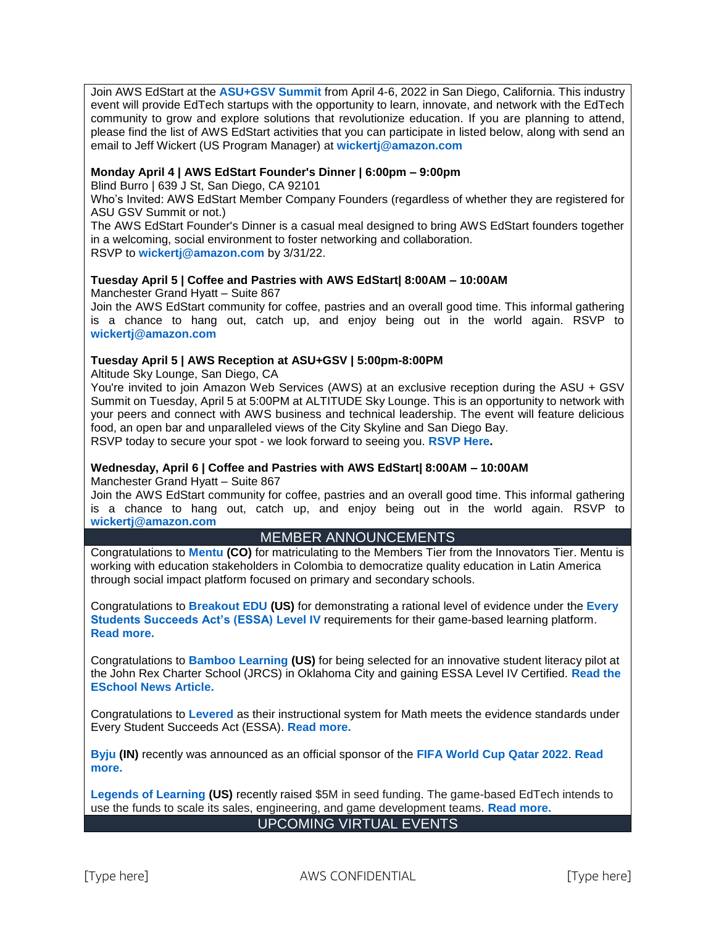Join AWS EdStart at the **[ASU+GSV Summit](https://www.asugsvsummit.com/)** from April 4-6, 2022 in San Diego, California. This industry event will provide EdTech startups with the opportunity to learn, innovate, and network with the EdTech community to grow and explore solutions that revolutionize education. If you are planning to attend, please find the list of AWS EdStart activities that you can participate in listed below, along with send an email to Jeff Wickert (US Program Manager) at **[wickertj@amazon.com](mailto:wickertj@amazon.com)**

#### **Monday April 4 | AWS EdStart Founder's Dinner | 6:00pm – 9:00pm**

Blind Burro | 639 J St, San Diego, CA 92101

Who's Invited: AWS EdStart Member Company Founders (regardless of whether they are registered for ASU GSV Summit or not.)

The AWS EdStart Founder's Dinner is a casual meal designed to bring AWS EdStart founders together in a welcoming, social environment to foster networking and collaboration. RSVP to **[wickertj@amazon.com](mailto:wickertj@amazon.com)** by 3/31/22.

#### **Tuesday April 5 | Coffee and Pastries with AWS EdStart| 8:00AM – 10:00AM**

Manchester Grand Hyatt – Suite 867

Join the AWS EdStart community for coffee, pastries and an overall good time. This informal gathering is a chance to hang out, catch up, and enjoy being out in the world again. RSVP to **[wickertj@amazon.com](mailto:wickertj@amazon.com)** 

#### **Tuesday April 5 | AWS Reception at ASU+GSV | 5:00pm-8:00PM**

Altitude Sky Lounge, San Diego, CA

You're invited to join Amazon Web Services (AWS) at an exclusive reception during the ASU + GSV Summit on Tuesday, April 5 at 5:00PM at ALTITUDE Sky Lounge. This is an opportunity to network with your peers and connect with AWS business and technical leadership. The event will feature delicious food, an open bar and unparalleled views of the City Skyline and San Diego Bay. RSVP today to secure your spot - we look forward to seeing you. **[RSVP Here.](https://aws-reception-at-asu-gsv.splashthat.com/)**

#### **Wednesday, April 6 | Coffee and Pastries with AWS EdStart| 8:00AM – 10:00AM**

Manchester Grand Hyatt – Suite 867

Join the AWS EdStart community for coffee, pastries and an overall good time. This informal gathering is a chance to hang out, catch up, and enjoy being out in the world again. RSVP to **[wickertj@amazon.com](mailto:wickertj@amazon.com)**

#### MEMBER ANNOUNCEMENTS

Congratulations to **[Mentu](https://www.mentu.co/) (CO)** for matriculating to the Members Tier from the Innovators Tier. Mentu is working with education stakeholders in Colombia to democratize quality education in Latin America through social impact platform focused on primary and secondary schools.

Congratulations to **[Breakout EDU](https://www.breakoutedu.com/) (US)** for demonstrating a rational level of evidence under the **[Every](https://www.ed.gov/essa?src=rn) [Students Succeeds Act's \(ESSA\)](https://www.ed.gov/essa?src=rn) Level IV** requirements for their game-based learning platform. **[Read more.](https://finance.yahoo.com/news/breakout-edu-earns-essa-certification-123900459.html)**

Congratulations to **[Bamboo Learning](http://www.bamboolearning.com/) (US)** for being selected for an innovative student literacy pilot at the John Rex Charter School (JRCS) in Oklahoma City and gaining ESSA Level IV Certified. **[Read the](https://www.eschoolnews.com/2022/03/07/bamboo-learnings-comprehension-through-conversation-edtech-solution-for-k-5-students-gaining-momentum/)  [ESchool News Article.](https://www.eschoolnews.com/2022/03/07/bamboo-learnings-comprehension-through-conversation-edtech-solution-for-k-5-students-gaining-momentum/)**

Congratulations to **[Levered](https://www.levered.com/posts/levered-math-meets-essa-evidence)** as their instructional system for Math meets the evidence standards under Every Student Succeeds Act (ESSA). **[Read more.](https://www.levered.com/posts/levered-math-meets-essa-evidence)**

**[Byju](https://byjus.com/us/) (IN)** recently was announced as an official sponsor of the **[FIFA World Cup Qatar 2022](https://www.fifa.com/tournaments/mens/worldcup/qatar2022)**. **[Read](https://finance.yahoo.com/news/byjus-announced-official-sponsor-fifa-090000315.html)  [more.](https://finance.yahoo.com/news/byjus-announced-official-sponsor-fifa-090000315.html)**

**[Legends of Learning](https://www.legendsoflearning.com/) (US)** recently raised \$5M in seed funding. The game-based EdTech intends to use the funds to scale its sales, engineering, and game development teams. **[Read more.](https://www.finsmes.com/2022/03/legends-of-learning-raises-5m-seed-funding-round.html)** UPCOMING VIRTUAL EVENTS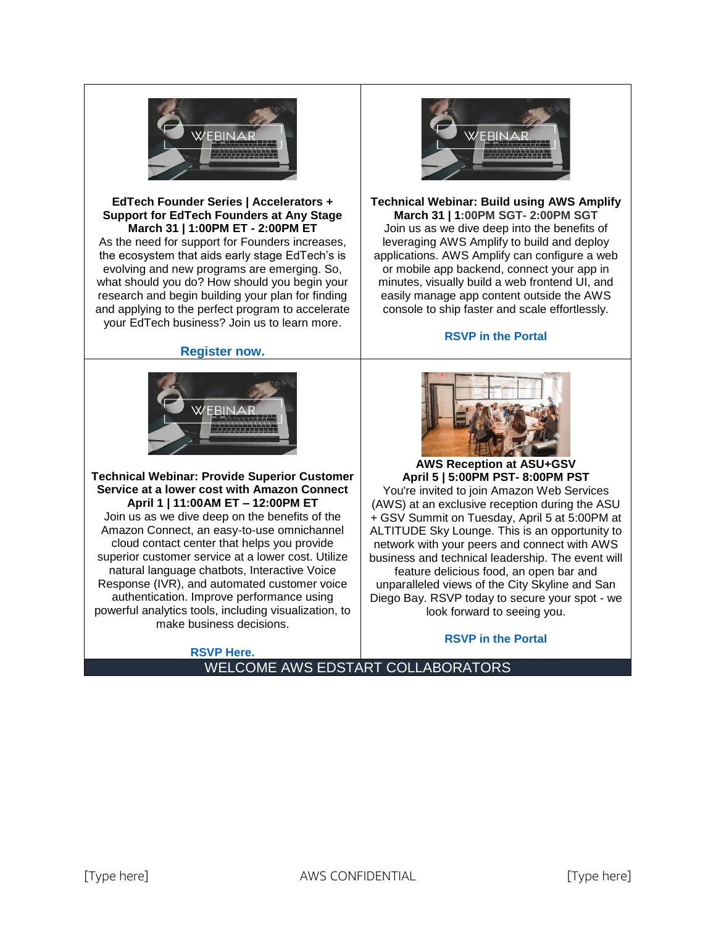

#### **EdTech Founder Series | Accelerators + Support for EdTech Founders at Any Stage March 31 | 1:00PM ET - 2:00PM ET**

As the need for support for Founders increases, the ecosystem that aids early stage EdTech's is evolving and new programs are emerging. So, what should you do? How should you begin your research and begin building your plan for finding and applying to the perfect program to accelerate your EdTech business? Join us to learn more.

#### **[Register now.](https://awsedstart.com/display/EVE/5UIiZUJ4HdY5Ip2)**



**Technical Webinar: Provide Superior Customer Service at a lower cost with Amazon Connect April 1 | 11:00AM ET – 12:00PM ET** Join us as we dive deep on the benefits of the Amazon Connect, an easy-to-use omnichannel cloud contact center that helps you provide superior customer service at a lower cost. Utilize natural language chatbots, Interactive Voice Response (IVR), and automated customer voice authentication. Improve performance using powerful analytics tools, including visualization, to make business decisions.

**[RSVP Here.](https://meet.goto.com/120538525)**



#### **Technical Webinar: Build using AWS Amplify March 31 | 1:00PM SGT- 2:00PM SGT** Join us as we dive deep into the benefits of leveraging AWS Amplify to build and deploy applications. AWS Amplify can configure a web or mobile app backend, connect your app in minutes, visually build a web frontend UI, and easily manage app content outside the AWS console to ship faster and scale effortlessly.

#### **[RSVP in the Portal](https://awsedstart.com/display/EVE/QUvNBXNe0Kx7vjz#Details)**



**AWS Reception at ASU+GSV April 5 | 5:00PM PST- 8:00PM PST**

You're invited to join Amazon Web Services (AWS) at an exclusive reception during the ASU + GSV Summit on Tuesday, April 5 at 5:00PM at ALTITUDE Sky Lounge. This is an opportunity to network with your peers and connect with AWS business and technical leadership. The event will feature delicious food, an open bar and unparalleled views of the City Skyline and San Diego Bay. RSVP today to secure your spot - we look forward to seeing you.

#### **[RSVP in the Portal](https://aws-reception-at-asu-gsv.splashthat.com/)**

WELCOME AWS EDSTART COLLABORATORS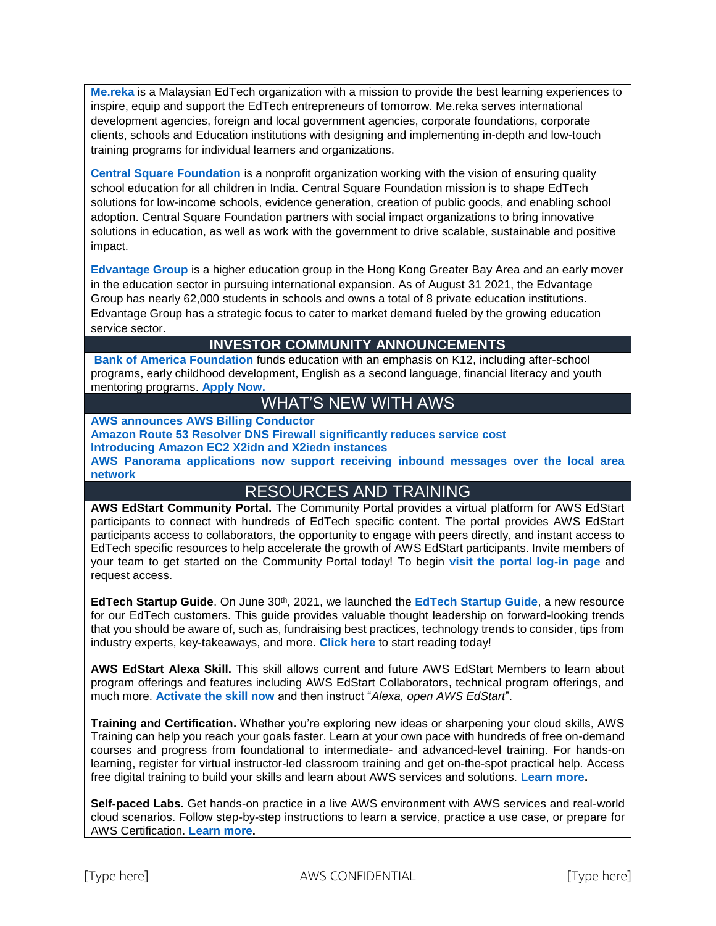**[Me.reka](https://www.mereka.my/)** is a Malaysian EdTech organization with a mission to provide the best learning experiences to inspire, equip and support the EdTech entrepreneurs of tomorrow. Me.reka serves international development agencies, foreign and local government agencies, corporate foundations, corporate clients, schools and Education institutions with designing and implementing in-depth and low-touch training programs for individual learners and organizations.

**[Central Square Foundation](https://www.centralsquarefoundation.org/)** is a nonprofit organization working with the vision of ensuring quality school education for all children in India. Central Square Foundation mission is to shape EdTech solutions for low-income schools, evidence generation, creation of public goods, and enabling school adoption. Central Square Foundation partners with social impact organizations to bring innovative solutions in education, as well as work with the government to drive scalable, sustainable and positive impact.

**[Edvantage Group](http://www.edvantagegroup.com.hk/en/)** is a higher education group in the Hong Kong Greater Bay Area and an early mover in the education sector in pursuing international expansion. As of August 31 2021, the Edvantage Group has nearly 62,000 students in schools and owns a total of 8 private education institutions. Edvantage Group has a strategic focus to cater to market demand fueled by the growing education service sector.

#### **INVESTOR COMMUNITY ANNOUNCEMENTS**

**[Bank of America Foundation](http://www.bankofamerica.com/foundation/)** funds education with an emphasis on K12, including after-school programs, early childhood development, English as a second language, financial literacy and youth mentoring programs. **[Apply Now.](https://about.bankofamerica.com/en/making-an-impact/find-resources)**

## WHAT'S NEW WITH AWS

**[AWS announces AWS Billing Conductor](https://aws.amazon.com/about-aws/whats-new/2022/03/aws-announces-aws-billing-conductor/)**

#### **[Amazon Route 53 Resolver DNS Firewall significantly reduces service cost](https://aws.amazon.com/about-aws/whats-new/2022/03/amazon-route-53-resolver-dns-firewall-reduces-service-cost/) [Introducing Amazon EC2 X2idn and X2iedn instances](https://aws.amazon.com/about-aws/whats-new/2022/03/amazon-ec2-x2idn-x2iedn-instances/)**

**[AWS Panorama applications now support receiving inbound messages over the local area](https://aws.amazon.com/about-aws/whats-new/2022/03/aws-panorama-inbound-messages-local-area-network/)  [network](https://aws.amazon.com/about-aws/whats-new/2022/03/aws-panorama-inbound-messages-local-area-network/)**

### RESOURCES AND TRAINING

AWS EdStart Community Portal. The Community Portal provides a virtual platform for AWS EdStart participants to connect with hundreds of EdTech specific content. The portal provides AWS EdStart participants access to collaborators, the opportunity to engage with peers directly, and instant access to EdTech specific resources to help accelerate the growth of AWS EdStart participants. Invite members of your team to get started on the Community Portal today! To begin **[visit the portal log-in page](http://www.awsedstart.com/)** and request access.

**EdTech Startup Guide**. On June 30th, 2021, we launched the **[EdTech Startup Guide](https://bl0fppvz.r.us-east-1.awstrack.me/L0/https:%2F%2Fpages.awscloud.com%2Faws-edstart-edtech-guide.html/1/02000000q7p555sm-t435nee0-418q-uo77-cj60-sjmvbcf8k4o0-000000/25wtNTe1413P6Lyu0zr2brQUjdI=228)**, a new resource for our EdTech customers. This guide provides valuable thought leadership on forward-looking trends that you should be aware of, such as, fundraising best practices, technology trends to consider, tips from industry experts, key-takeaways, and more. **[Click here](https://bl0fppvz.r.us-east-1.awstrack.me/L0/https:%2F%2Fpages.awscloud.com%2Faws-edstart-edtech-guide.html/2/02000000q7p555sm-t435nee0-418q-uo77-cj60-sjmvbcf8k4o0-000000/gQxYE4BxBNqsf9Y7ILCQBD-RAwE=228)** to start reading today!

**AWS EdStart Alexa Skill.** This skill allows current and future AWS EdStart Members to learn about program offerings and features including AWS EdStart Collaborators, technical program offerings, and much more. **[Activate the skill now](https://www.amazon.com/dp/B08XSX6XX8)** and then instruct "*Alexa, open AWS EdStart*".

**Training and Certification.** Whether you're exploring new ideas or sharpening your cloud skills, AWS Training can help you reach your goals faster. Learn at your own pace with hundreds of free on-demand courses and progress from foundational to intermediate- and advanced-level training. For hands-on learning, register for virtual instructor-led classroom training and get on-the-spot practical help. Access free digital training to build your skills and learn about AWS services and solutions. **[Learn more.](https://pages.awscloud.com/digital-learning-training-certification.html)**

**Self-paced Labs.** Get hands-on practice in a live AWS environment with AWS services and real-world cloud scenarios. Follow step-by-step instructions to learn a service, practice a use case, or prepare for AWS Certification. **[Learn more.](https://aws.amazon.com/training/self-paced-labs/)**